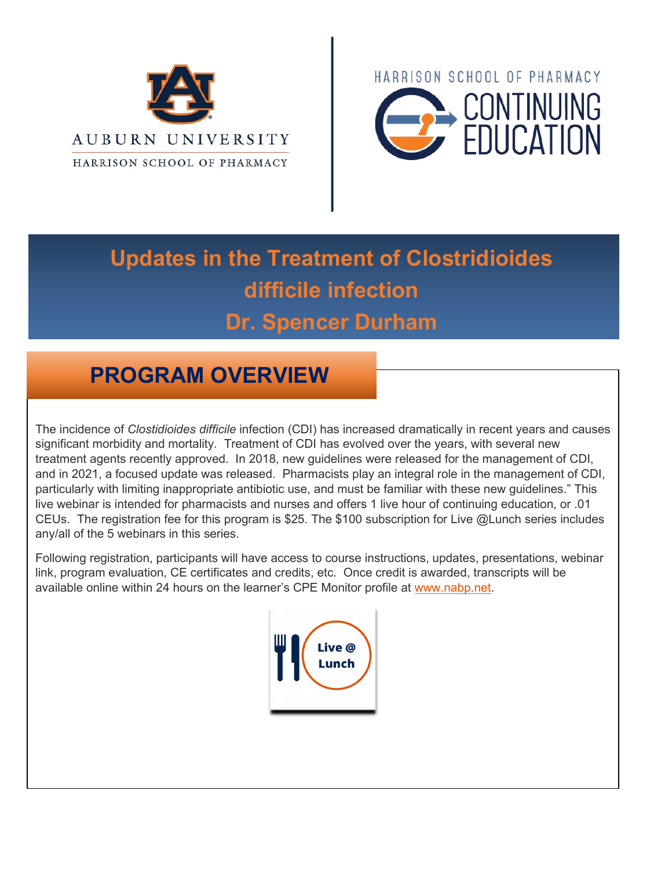



# **Updates in the Treatment of Clostridioides difficile infection Dr. Spencer Durham**

# **PROGRAM OVERVIEW**

The incidence of *Clostidioides difficile* infection (CDI) has increased dramatically in recent years and causes significant morbidity and mortality. Treatment of CDI has evolved over the years, with several new treatment agents recently approved. In 2018, new guidelines were released for the management of CDI, and in 2021, a focused update was released. Pharmacists play an integral role in the management of CDI, particularly with limiting inappropriate antibiotic use, and must be familiar with these new guidelines." This live webinar is intended for pharmacists and nurses and offers 1 live hour of continuing education, or .01 CEUs. The registration fee for this program is \$25. The \$100 subscription for Live @Lunch series includes any/all of the 5 webinars in this series.

Following registration, participants will have access to course instructions, updates, presentations, webinar link, program evaluation, CE certificates and credits, etc. Once credit is awarded, transcripts will be available online within 24 hours on the learner's CPE Monitor profile at [www.nabp.net.](http://www.nabp.net/)

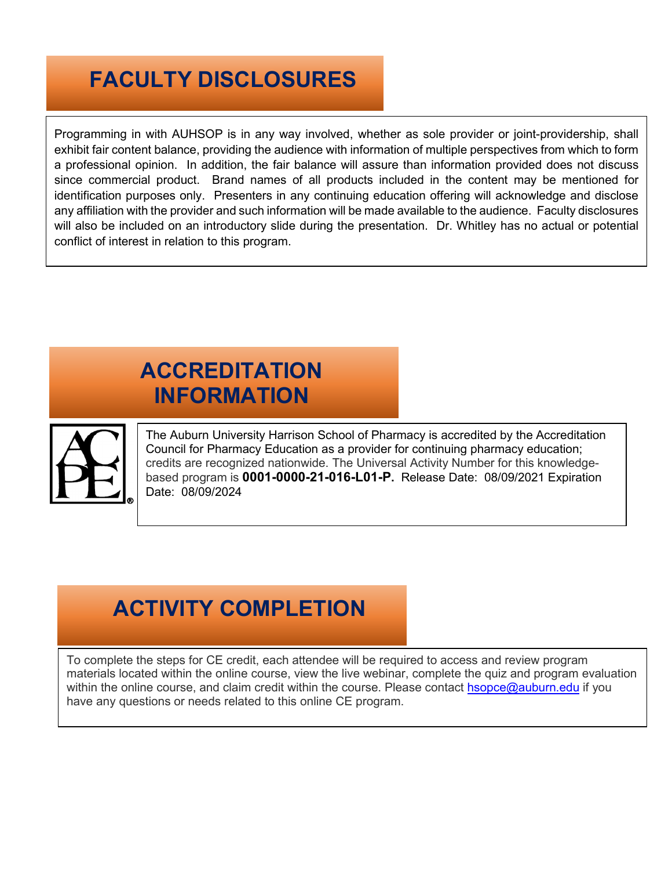# **FACULTY DISCLOSURES**

Programming in with AUHSOP is in any way involved, whether as sole provider or joint-providership, shall exhibit fair content balance, providing the audience with information of multiple perspectives from which to form a professional opinion. In addition, the fair balance will assure than information provided does not discuss since commercial product. Brand names of all products included in the content may be mentioned for identification purposes only. Presenters in any continuing education offering will acknowledge and disclose any affiliation with the provider and such information will be made available to the audience. Faculty disclosures will also be included on an introductory slide during the presentation. Dr. Whitley has no actual or potential conflict of interest in relation to this program.

# **ACCREDITATION INFORMATION**



The Auburn University Harrison School of Pharmacy is accredited by the Accreditation Council for Pharmacy Education as a provider for continuing pharmacy education; credits are recognized nationwide. The Universal Activity Number for this knowledgebased program is **0001-0000-21-016-L01-P.** Release Date: 08/09/2021 Expiration Date: 08/09/2024

### **ACTIVITY COMPLETION**

To complete the steps for CE credit, each attendee will be required to access and review program materials located within the online course, view the live webinar, complete the quiz and program evaluation within the online course, and claim credit within the course. Please contact [hsopce@auburn.edu](mailto:hsopce@auburn.edu) if you have any questions or needs related to this online CE program.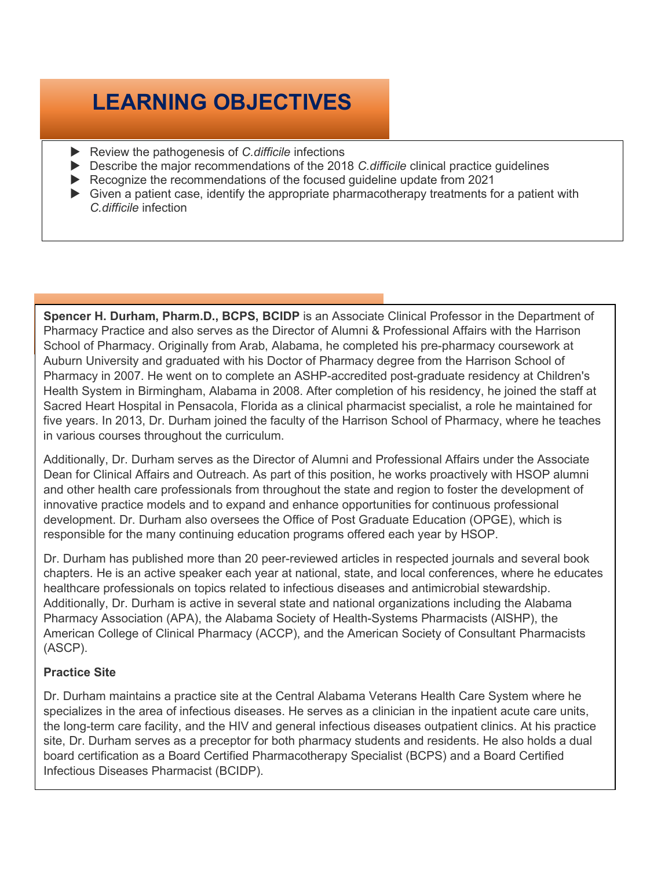# **LEARNING OBJECTIVES**

- Review the pathogenesis of *C.difficile* infections
- Describe the major recommendations of the 2018 *C.difficile* clinical practice guidelines
- Recognize the recommendations of the focused guideline update from 2021
- $\triangleright$  Given a patient case, identify the appropriate pharmacotherapy treatments for a patient with *C.difficile* infection

**Spencer H. Durham, Pharm.D., BCPS, BCIDP** is an Associate Clinical Professor in the Department of Pharmacy Practice and also serves as the Director of Alumni & Professional Affairs with the Harrison School of Pharmacy. Originally from Arab, Alabama, he completed his pre-pharmacy coursework at Auburn University and graduated with his Doctor of Pharmacy degree from the Harrison School of Pharmacy in 2007. He went on to complete an ASHP-accredited post-graduate residency at Children's Health System in Birmingham, Alabama in 2008. After completion of his residency, he joined the staff at Sacred Heart Hospital in Pensacola, Florida as a clinical pharmacist specialist, a role he maintained for five years. In 2013, Dr. Durham joined the faculty of the Harrison School of Pharmacy, where he teaches in various courses throughout the curriculum.

Additionally, Dr. Durham serves as the Director of Alumni and Professional Affairs under the Associate Dean for Clinical Affairs and Outreach. As part of this position, he works proactively with HSOP alumni and other health care professionals from throughout the state and region to foster the development of innovative practice models and to expand and enhance opportunities for continuous professional development. Dr. Durham also oversees the Office of Post Graduate Education (OPGE), which is responsible for the many continuing education programs offered each year by HSOP.

Dr. Durham has published more than 20 peer-reviewed articles in respected journals and several book chapters. He is an active speaker each year at national, state, and local conferences, where he educates healthcare professionals on topics related to infectious diseases and antimicrobial stewardship. Additionally, Dr. Durham is active in several state and national organizations including the Alabama Pharmacy Association (APA), the Alabama Society of Health-Systems Pharmacists (AlSHP), the American College of Clinical Pharmacy (ACCP), and the American Society of Consultant Pharmacists (ASCP).

#### **Practice Site**

Dr. Durham maintains a practice site at the Central Alabama Veterans Health Care System where he specializes in the area of infectious diseases. He serves as a clinician in the inpatient acute care units, the long-term care facility, and the HIV and general infectious diseases outpatient clinics. At his practice site, Dr. Durham serves as a preceptor for both pharmacy students and residents. He also holds a dual board certification as a Board Certified Pharmacotherapy Specialist (BCPS) and a Board Certified Infectious Diseases Pharmacist (BCIDP).